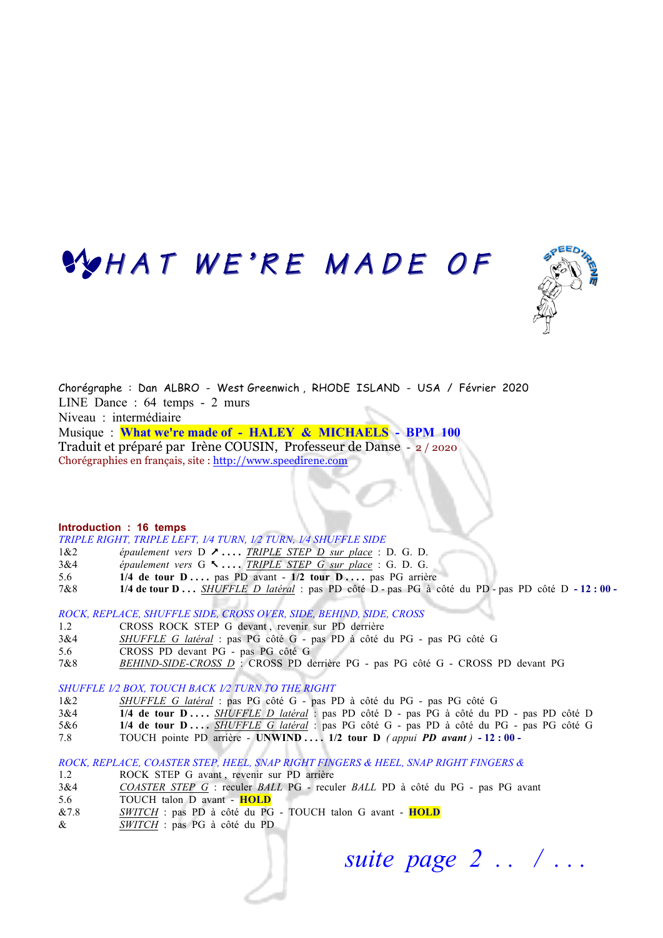# WHAT WE'RE MADE OF



Chorégraphe : Dan ALBRO - West Greenwich , RHODE ISLAND - USA / Février 2020 LINE Dance : 64 temps - 2 murs Niveau : intermédiaire Musique : **What we're made of - HALEY & MICHAELS - BPM 100** Traduit et préparé par Irène COUSIN, Professeur de Danse - 2 / 2020

#### **Introduction : 16 temps**

*TRIPLE RIGHT, TRIPLE LEFT, 1⁄4 TURN, 1⁄2 TURN, 1⁄4 SHUFFLE SIDE*

Chorégraphies en français, site : http://www.speedirene.com

- 1&2 *épaulement vers* D & **. . . .** *TRIPLE STEP D sur place* : D. G. D.
- 3&4 *épaulement vers* G % **. . . .** *TRIPLE STEP G sur place* :G. D. G.
- 5.6 **1/4 de tour D ....** pas PD avant **1/2 tour D ....** pas PG arrière
- 7&8 **1/4 de tour D . . .** *SHUFFLE D latéral* : pas PD côté D pas PG à côté du PD pas PD côté D **- 12 : 00**

*ROCK, REPLACE, SHUFFLE SIDE, CROSS OVER, SIDE, BEHIND, SIDE, CROSS*

- 1.2 CROSS ROCK STEP G devant , revenir sur PD derrière
- 3&4 *SHUFFLE G latéral* : pas PG côté G pas PD à côté du PG pas PG côté G
- 5.6 CROSS PD devant PG pas PG côté G
- 7&8 *BEHIND-SIDE-CROSS D* : CROSS PD derrière PG pas PG côté G CROSS PD devant PG

*SHUFFLE 1⁄2 BOX, TOUCH BACK 1⁄2 TURN TO THE RIGHT*

- 1&2 *SHUFFLE G latéral* : pas PG côté G pas PD à côté du PG pas PG côté G
- 3&4 **1/4 de tour D . . . .** *SHUFFLE D latéral* : pas PD côté D pas PG à côté du PD pas PD côté D
- 5&6 **1/4 de tour D . . . .** *SHUFFLE G latéral* : pas PG côté G pas PD à côté du PG pas PG côté G
- 7.8 TOUCH pointe PD arrière **UNWIND . . . . 1/2 tour D** *( appui PD avant )* **- 12 : 00**

#### *ROCK, REPLACE, COASTER STEP, HEEL, SNAP RIGHT FINGERS & HEEL, SNAP RIGHT FINGERS &*

- 1.2 ROCK STEP G avant, revenir sur PD arrière
- 3&4 *COASTER STEP G* : reculer *BALL* PG reculer *BALL* PD à côté du PG pas PG avant
- 5.6 TOUCH talon D avant **HOLD**
- &7.8 *SWITCH* : pas PD à côté du PG TOUCH talon G avant **HOLD**
- & *SWITCH* : pas PG à côté du PD

 *suite page 2 . . / . . .*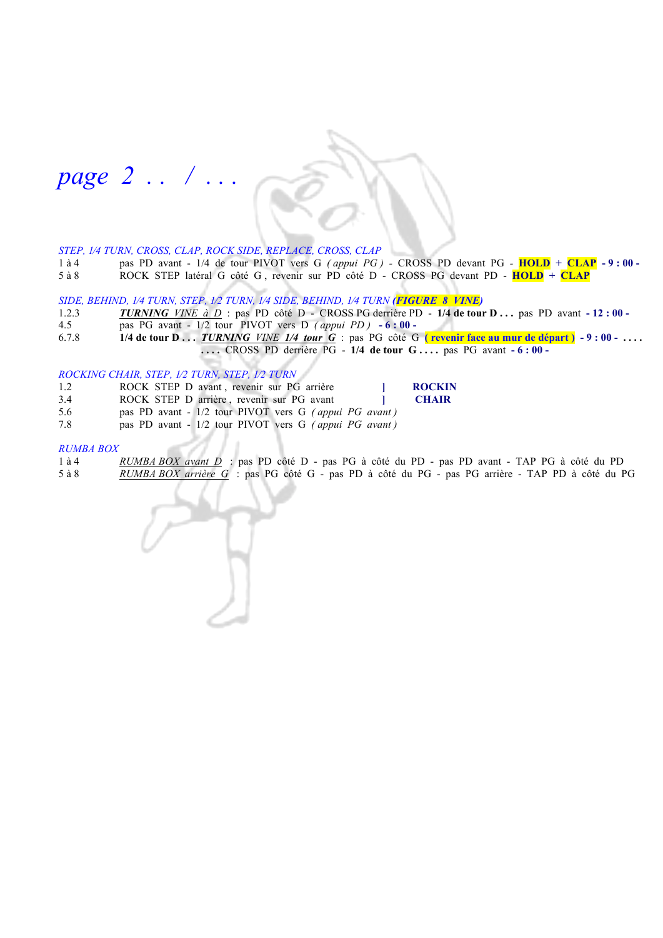# *page 2 . . / . . .*

#### *STEP, 1⁄4 TURN, CROSS, CLAP, ROCK SIDE, REPLACE, CROSS, CLAP*

1 à 4 pas PD avant - 1/4 de tour PIVOT vers G *(appui PG)* - CROSS PD devant PG - **HOLD** + **CLAP** - 9 **: 00** - 5 à 8 ROCK STEP latéral G côté G, revenir sur PD côté D - CROSS PG devant PD - **HOLD** + **CLAP** 5 à 8 ROCK STEP latéral G côté G , revenir sur PD côté D - CROSS PG devant PD- **HOLD + CLAP** 

# *SIDE, BEHIND, 1⁄4 TURN, STEP, 1⁄2 TURN, 1⁄4 SIDE, BEHIND, 1⁄4 TURN (FIGURE 8 VINE)*

- 1.2.3 *TURNING VINE à D* : pas PD côté D CROSS PG derrière PD **1/4 de tour D . . .** pas PD avant **- 12 : 00 -**
- 4.5 **pas PG avant 1/2 tour PIVOT vers D** (appui PD)  **6 : 00 -** 6.7.8 **1/4 de tour D** ... *TURNING VINE 1/4 tour G* : pas PG côté G
- 6.7.8 **1/4 de tour D . . .** *TURNING VINE 1/4 tour G* : pas PG côté G **( revenir face au mur de départ ) - 9 : 00 . . . . . . . .** CROSS PD derrière PG - **1/4 de tour G . . . .** pas PG avant **- 6 : 00 -**

#### *ROCKING CHAIR, STEP, 1⁄2 TURN, STEP, 1⁄2 TURN*

- 1.2 ROCK STEP D avant , revenir sur PG arrière **ROCKIN**
- 3.4 ROCK STEP D arrière , revenir sur PG avant **] CHAIR**
- 5.6 pas PD avant 1/2 tour PIVOT vers G *( appui PG avant )*
- 7.8 pas PD avant 1/2 tour PIVOT vers G *( appui PG avant )*

#### *RUMBA BOX*

1 à 4 *RUMBA BOX avant D* : pas PD côté D - pas PG à côté du PD - pas PD avant - TAP PG à côté du PD 5 à 8 *RUMBA BOX arrière G* : pas PG côté G - pas PD à côté du PG - pas PG arrière - TAP PD à côté du PG